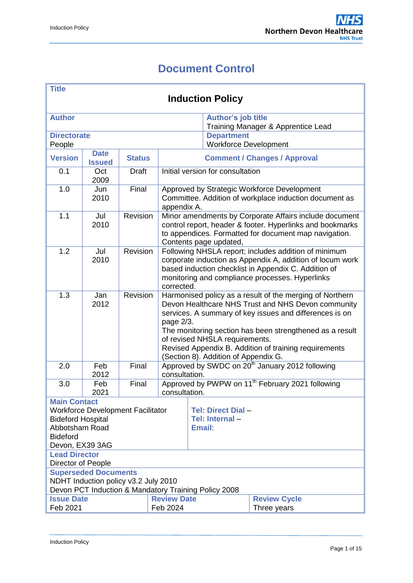# **Document Control**

<span id="page-0-0"></span>

| Title<br><b>Induction Policy</b>                                                                                                                    |                              |               |                                                                                                                                                                                                                                                                                                                                                                                       |                                                                                                                                                                                                                                            |                                                   |                                                                                                                                                                              |  |
|-----------------------------------------------------------------------------------------------------------------------------------------------------|------------------------------|---------------|---------------------------------------------------------------------------------------------------------------------------------------------------------------------------------------------------------------------------------------------------------------------------------------------------------------------------------------------------------------------------------------|--------------------------------------------------------------------------------------------------------------------------------------------------------------------------------------------------------------------------------------------|---------------------------------------------------|------------------------------------------------------------------------------------------------------------------------------------------------------------------------------|--|
| <b>Author</b>                                                                                                                                       |                              |               |                                                                                                                                                                                                                                                                                                                                                                                       |                                                                                                                                                                                                                                            | <b>Author's job title</b>                         | Training Manager & Apprentice Lead                                                                                                                                           |  |
| <b>Directorate</b><br>People                                                                                                                        |                              |               |                                                                                                                                                                                                                                                                                                                                                                                       |                                                                                                                                                                                                                                            | <b>Department</b><br><b>Workforce Development</b> |                                                                                                                                                                              |  |
| <b>Version</b>                                                                                                                                      | <b>Date</b><br><b>Issued</b> | <b>Status</b> |                                                                                                                                                                                                                                                                                                                                                                                       |                                                                                                                                                                                                                                            |                                                   | <b>Comment / Changes / Approval</b>                                                                                                                                          |  |
| 0.1                                                                                                                                                 | Oct<br>2009                  | <b>Draft</b>  |                                                                                                                                                                                                                                                                                                                                                                                       |                                                                                                                                                                                                                                            | Initial version for consultation                  |                                                                                                                                                                              |  |
| 1.0                                                                                                                                                 | Jun<br>2010                  | Final         | appendix A.                                                                                                                                                                                                                                                                                                                                                                           |                                                                                                                                                                                                                                            |                                                   | Approved by Strategic Workforce Development<br>Committee. Addition of workplace induction document as                                                                        |  |
| 1.1                                                                                                                                                 | Jul<br>2010                  | Revision      |                                                                                                                                                                                                                                                                                                                                                                                       |                                                                                                                                                                                                                                            | Contents page updated,                            | Minor amendments by Corporate Affairs include document<br>control report, header & footer. Hyperlinks and bookmarks<br>to appendices. Formatted for document map navigation. |  |
| $\overline{1.2}$                                                                                                                                    | Jul<br>2010                  | Revision      |                                                                                                                                                                                                                                                                                                                                                                                       | Following NHSLA report; includes addition of minimum<br>corporate induction as Appendix A, addition of locum work<br>based induction checklist in Appendix C. Addition of<br>monitoring and compliance processes. Hyperlinks<br>corrected. |                                                   |                                                                                                                                                                              |  |
| $\overline{1.3}$                                                                                                                                    | Jan<br>2012                  | Revision      | Harmonised policy as a result of the merging of Northern<br>Devon Healthcare NHS Trust and NHS Devon community<br>services. A summary of key issues and differences is on<br>page 2/3.<br>The monitoring section has been strengthened as a result<br>of revised NHSLA requirements.<br>Revised Appendix B. Addition of training requirements<br>(Section 8). Addition of Appendix G. |                                                                                                                                                                                                                                            |                                                   |                                                                                                                                                                              |  |
| 2.0                                                                                                                                                 | Feb<br>2012                  | Final         | consultation.                                                                                                                                                                                                                                                                                                                                                                         |                                                                                                                                                                                                                                            |                                                   | Approved by SWDC on 20 <sup>th</sup> January 2012 following                                                                                                                  |  |
| 3.0                                                                                                                                                 | Feb<br>2021                  | Final         | consultation.                                                                                                                                                                                                                                                                                                                                                                         |                                                                                                                                                                                                                                            |                                                   | Approved by PWPW on 11 <sup>th</sup> February 2021 following                                                                                                                 |  |
| <b>Main Contact</b><br><b>Workforce Development Facilitator</b><br><b>Bideford Hospital</b><br>Abbotsham Road<br><b>Bideford</b><br>Devon, EX39 3AG |                              |               |                                                                                                                                                                                                                                                                                                                                                                                       | <b>Tel: Direct Dial -</b><br>Tel: Internal-<br><b>Email:</b>                                                                                                                                                                               |                                                   |                                                                                                                                                                              |  |
| <b>Lead Director</b><br>Director of People                                                                                                          |                              |               |                                                                                                                                                                                                                                                                                                                                                                                       |                                                                                                                                                                                                                                            |                                                   |                                                                                                                                                                              |  |
| <b>Superseded Documents</b><br>NDHT Induction policy v3.2 July 2010<br>Devon PCT Induction & Mandatory Training Policy 2008                         |                              |               |                                                                                                                                                                                                                                                                                                                                                                                       |                                                                                                                                                                                                                                            |                                                   |                                                                                                                                                                              |  |
| <b>Issue Date</b><br><b>Review Date</b><br>Feb 2021<br>Feb 2024                                                                                     |                              |               |                                                                                                                                                                                                                                                                                                                                                                                       |                                                                                                                                                                                                                                            | <b>Review Cycle</b><br>Three years                |                                                                                                                                                                              |  |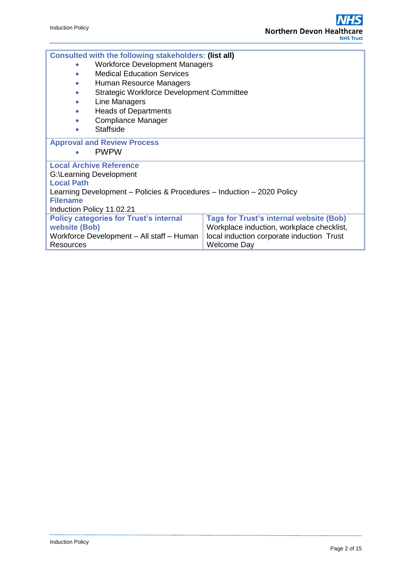| Consulted with the following stakeholders: (list all)                                           |  |  |  |  |  |  |  |
|-------------------------------------------------------------------------------------------------|--|--|--|--|--|--|--|
| <b>Workforce Development Managers</b><br>$\bullet$                                              |  |  |  |  |  |  |  |
| <b>Medical Education Services</b><br>$\bullet$                                                  |  |  |  |  |  |  |  |
| Human Resource Managers<br>$\bullet$                                                            |  |  |  |  |  |  |  |
| Strategic Workforce Development Committee<br>$\bullet$                                          |  |  |  |  |  |  |  |
| Line Managers<br>$\bullet$                                                                      |  |  |  |  |  |  |  |
| <b>Heads of Departments</b><br>$\bullet$                                                        |  |  |  |  |  |  |  |
| Compliance Manager<br>$\bullet$                                                                 |  |  |  |  |  |  |  |
| Staffside<br>$\bullet$                                                                          |  |  |  |  |  |  |  |
| <b>Approval and Review Process</b>                                                              |  |  |  |  |  |  |  |
| <b>PWPW</b><br>$\bullet$                                                                        |  |  |  |  |  |  |  |
| <b>Local Archive Reference</b>                                                                  |  |  |  |  |  |  |  |
| G:\Learning Development                                                                         |  |  |  |  |  |  |  |
| <b>Local Path</b>                                                                               |  |  |  |  |  |  |  |
| Learning Development – Policies & Procedures – Induction – 2020 Policy                          |  |  |  |  |  |  |  |
| <b>Filename</b>                                                                                 |  |  |  |  |  |  |  |
| Induction Policy 11.02.21                                                                       |  |  |  |  |  |  |  |
| <b>Policy categories for Trust's internal</b><br><b>Tags for Trust's internal website (Bob)</b> |  |  |  |  |  |  |  |
| website (Bob)<br>Workplace induction, workplace checklist,                                      |  |  |  |  |  |  |  |
| local induction corporate induction Trust<br>Workforce Development - All staff - Human          |  |  |  |  |  |  |  |
| <b>Welcome Day</b><br>Resources                                                                 |  |  |  |  |  |  |  |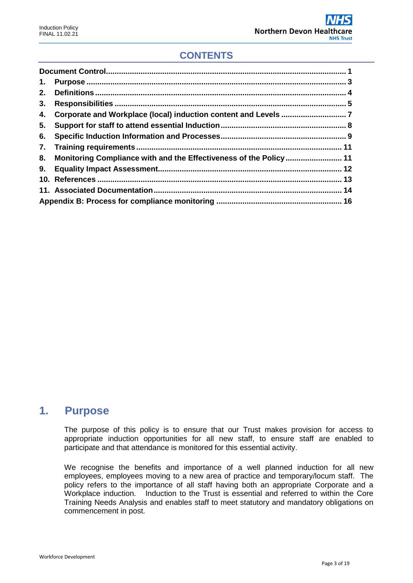## **CONTENTS**

| 1. |                                                                   |  |
|----|-------------------------------------------------------------------|--|
| 2. |                                                                   |  |
| 3. |                                                                   |  |
| 4. |                                                                   |  |
| 5. |                                                                   |  |
| 6. |                                                                   |  |
|    |                                                                   |  |
| 8. | Monitoring Compliance with and the Effectiveness of the Policy 11 |  |
| 9. |                                                                   |  |
|    |                                                                   |  |
|    |                                                                   |  |
|    |                                                                   |  |

# <span id="page-2-0"></span>**1. Purpose**

The purpose of this policy is to ensure that our Trust makes provision for access to appropriate induction opportunities for all new staff, to ensure staff are enabled to participate and that attendance is monitored for this essential activity.

We recognise the benefits and importance of a well planned induction for all new employees, employees moving to a new area of practice and temporary/locum staff. The policy refers to the importance of all staff having both an appropriate Corporate and a Workplace induction. Induction to the Trust is essential and referred to within the Core Training Needs Analysis and enables staff to meet statutory and mandatory obligations on commencement in post.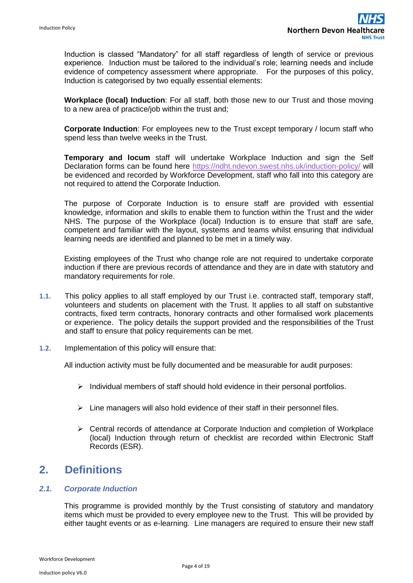Induction is classed "Mandatory" for all staff regardless of length of service or previous experience. Induction must be tailored to the individual's role; learning needs and include evidence of competency assessment where appropriate. For the purposes of this policy, Induction is categorised by two equally essential elements:

**Workplace (local) Induction**: For all staff, both those new to our Trust and those moving to a new area of practice/job within the trust and;

**Corporate Induction**: For employees new to the Trust except temporary / locum staff who spend less than twelve weeks in the Trust.

**Temporary and locum** staff will undertake Workplace Induction and sign the Self Declaration forms can be found here<https://ndht.ndevon.swest.nhs.uk/induction-policy/> will be evidenced and recorded by Workforce Development, staff who fall into this category are not required to attend the Corporate Induction.

The purpose of Corporate Induction is to ensure staff are provided with essential knowledge, information and skills to enable them to function within the Trust and the wider NHS. The purpose of the Workplace (local) Induction is to ensure that staff are safe, competent and familiar with the layout, systems and teams whilst ensuring that individual learning needs are identified and planned to be met in a timely way.

Existing employees of the Trust who change role are not required to undertake corporate induction if there are previous records of attendance and they are in date with statutory and mandatory requirements for role.

- **1.1.** This policy applies to all staff employed by our Trust i.e. contracted staff, temporary staff, volunteers and students on placement with the Trust. It applies to all staff on substantive contracts, fixed term contracts, honorary contracts and other formalised work placements or experience. The policy details the support provided and the responsibilities of the Trust and staff to ensure that policy requirements can be met.
- **1.2.** Implementation of this policy will ensure that:

All induction activity must be fully documented and be measurable for audit purposes:

- $\triangleright$  Individual members of staff should hold evidence in their personal portfolios.
- $\triangleright$  Line managers will also hold evidence of their staff in their personnel files.
- $\triangleright$  Central records of attendance at Corporate Induction and completion of Workplace (local) Induction through return of checklist are recorded within Electronic Staff Records (ESR).

# <span id="page-3-0"></span>**2. Definitions**

#### *2.1. Corporate Induction*

This programme is provided monthly by the Trust consisting of statutory and mandatory items which must be provided to every employee new to the Trust. This will be provided by either taught events or as e-learning. Line managers are required to ensure their new staff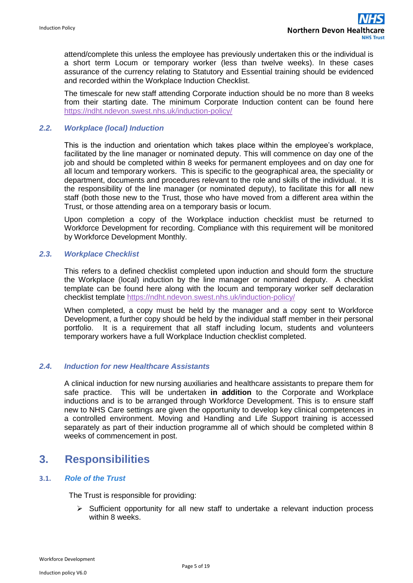attend/complete this unless the employee has previously undertaken this or the individual is a short term Locum or temporary worker (less than twelve weeks). In these cases assurance of the currency relating to Statutory and Essential training should be evidenced and recorded within the Workplace Induction Checklist.

The timescale for new staff attending Corporate induction should be no more than 8 weeks from their starting date. The minimum Corporate Induction content can be found here <https://ndht.ndevon.swest.nhs.uk/induction-policy/>

### *2.2. Workplace (local) Induction*

This is the induction and orientation which takes place within the employee's workplace, facilitated by the line manager or nominated deputy. This will commence on day one of the job and should be completed within 8 weeks for permanent employees and on day one for all locum and temporary workers. This is specific to the geographical area, the speciality or department, documents and procedures relevant to the role and skills of the individual. It is the responsibility of the line manager (or nominated deputy), to facilitate this for **all** new staff (both those new to the Trust, those who have moved from a different area within the Trust, or those attending area on a temporary basis or locum.

Upon completion a copy of the Workplace induction checklist must be returned to Workforce Development for recording. Compliance with this requirement will be monitored by Workforce Development Monthly.

### *2.3. Workplace Checklist*

This refers to a defined checklist completed upon induction and should form the structure the Workplace (local) induction by the line manager or nominated deputy. A checklist template can be found here along with the locum and temporary worker self declaration checklist template <https://ndht.ndevon.swest.nhs.uk/induction-policy/>

When completed, a copy must be held by the manager and a copy sent to Workforce Development, a further copy should be held by the individual staff member in their personal portfolio. It is a requirement that all staff including locum, students and volunteers temporary workers have a full Workplace Induction checklist completed.

### *2.4. Induction for new Healthcare Assistants*

A clinical induction for new nursing auxiliaries and healthcare assistants to prepare them for safe practice. This will be undertaken **in addition** to the Corporate and Workplace inductions and is to be arranged through Workforce Development. This is to ensure staff new to NHS Care settings are given the opportunity to develop key clinical competences in a controlled environment. Moving and Handling and Life Support training is accessed separately as part of their induction programme all of which should be completed within 8 weeks of commencement in post.

# <span id="page-4-0"></span>**3. Responsibilities**

#### **3.1.** *Role of the Trust*

The Trust is responsible for providing:

 $\triangleright$  Sufficient opportunity for all new staff to undertake a relevant induction process within 8 weeks.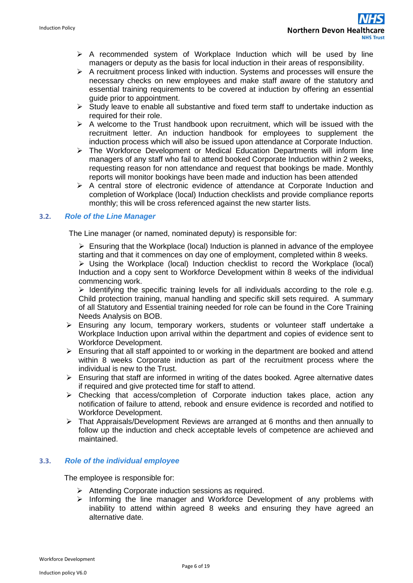- $\triangleright$  A recommended system of Workplace Induction which will be used by line managers or deputy as the basis for local induction in their areas of responsibility.
- $\triangleright$  A recruitment process linked with induction. Systems and processes will ensure the necessary checks on new employees and make staff aware of the statutory and essential training requirements to be covered at induction by offering an essential guide prior to appointment.
- $\triangleright$  Study leave to enable all substantive and fixed term staff to undertake induction as required for their role.
- $\triangleright$  A welcome to the Trust handbook upon recruitment, which will be issued with the recruitment letter. An induction handbook for employees to supplement the induction process which will also be issued upon attendance at Corporate Induction.
- $\triangleright$  The Workforce Development or Medical Education Departments will inform line managers of any staff who fail to attend booked Corporate Induction within 2 weeks, requesting reason for non attendance and request that bookings be made. Monthly reports will monitor bookings have been made and induction has been attended
- $\triangleright$  A central store of electronic evidence of attendance at Corporate Induction and completion of Workplace (local) Induction checklists and provide compliance reports monthly; this will be cross referenced against the new starter lists.

## **3.2.** *Role of the Line Manager*

The Line manager (or named, nominated deputy) is responsible for:

 $\triangleright$  Ensuring that the Workplace (local) Induction is planned in advance of the employee starting and that it commences on day one of employment, completed within 8 weeks.

 $\triangleright$  Using the Workplace (local) Induction checklist to record the Workplace (local) Induction and a copy sent to Workforce Development within 8 weeks of the individual commencing work.

 $\triangleright$  Identifying the specific training levels for all individuals according to the role e.g. Child protection training, manual handling and specific skill sets required. A summary of all Statutory and Essential training needed for role can be found in the Core Training Needs Analysis on BOB.

- Ensuring any locum, temporary workers, students or volunteer staff undertake a Workplace Induction upon arrival within the department and copies of evidence sent to Workforce Development.
- $\triangleright$  Ensuring that all staff appointed to or working in the department are booked and attend within 8 weeks Corporate induction as part of the recruitment process where the individual is new to the Trust.
- $\triangleright$  Ensuring that staff are informed in writing of the dates booked. Agree alternative dates if required and give protected time for staff to attend.
- Checking that access/completion of Corporate induction takes place, action any notification of failure to attend, rebook and ensure evidence is recorded and notified to Workforce Development.
- $\triangleright$  That Appraisals/Development Reviews are arranged at 6 months and then annually to follow up the induction and check acceptable levels of competence are achieved and maintained.

### **3.3.** *Role of the individual employee*

The employee is responsible for:

- $\triangleright$  Attending Corporate induction sessions as required.
- $\triangleright$  Informing the line manager and Workforce Development of any problems with inability to attend within agreed 8 weeks and ensuring they have agreed an alternative date.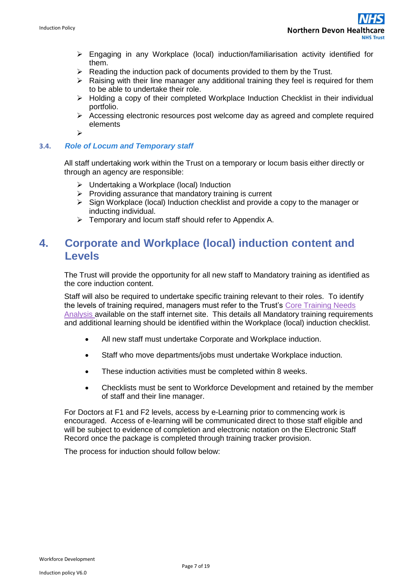- $\triangleright$  Engaging in any Workplace (local) induction/familiarisation activity identified for them.
- $\triangleright$  Reading the induction pack of documents provided to them by the Trust.
- $\triangleright$  Raising with their line manager any additional training they feel is required for them to be able to undertake their role.
- $\triangleright$  Holding a copy of their completed Workplace Induction Checklist in their individual portfolio.
- $\triangleright$  Accessing electronic resources post welcome day as agreed and complete required elements
- $\blacktriangleright$

### **3.4.** *Role of Locum and Temporary staff*

All staff undertaking work within the Trust on a temporary or locum basis either directly or through an agency are responsible:

- $\triangleright$  Undertaking a Workplace (local) Induction
- $\triangleright$  Providing assurance that mandatory training is current
- $\triangleright$  Sign Workplace (local) Induction checklist and provide a copy to the manager or inducting individual.
- $\triangleright$  Temporary and locum staff should refer to Appendix A.

# <span id="page-6-0"></span>**4. Corporate and Workplace (local) induction content and Levels**

The Trust will provide the opportunity for all new staff to Mandatory training as identified as the core induction content.

Staff will also be required to undertake specific training relevant to their roles. To identify the levels of training required, managers must refer to the Trust's [Core Training Needs](http://ndht.ndevon.swest.nhs.uk/?page_id=5877)  [Analysis a](http://ndht.ndevon.swest.nhs.uk/?page_id=5877)vailable on the staff internet site. This details all Mandatory training requirements and additional learning should be identified within the Workplace (local) induction checklist.

- All new staff must undertake Corporate and Workplace induction.
- Staff who move departments/jobs must undertake Workplace induction.
- These induction activities must be completed within 8 weeks.
- Checklists must be sent to Workforce Development and retained by the member of staff and their line manager.

For Doctors at F1 and F2 levels, access by e-Learning prior to commencing work is encouraged. Access of e-learning will be communicated direct to those staff eligible and will be subject to evidence of completion and electronic notation on the Electronic Staff Record once the package is completed through training tracker provision.

The process for induction should follow below: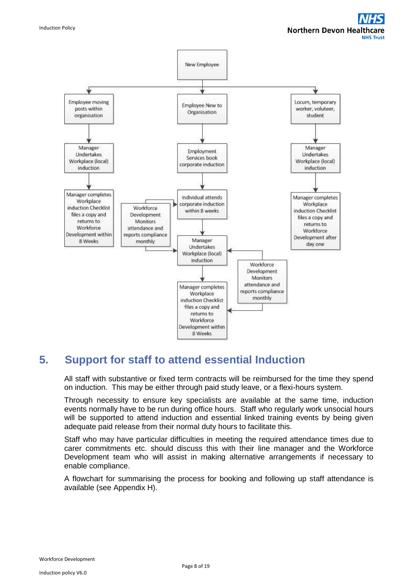

# <span id="page-7-0"></span>**5. Support for staff to attend essential Induction**

All staff with substantive or fixed term contracts will be reimbursed for the time they spend on induction. This may be either through paid study leave, or a flexi-hours system.

Through necessity to ensure key specialists are available at the same time, induction events normally have to be run during office hours. Staff who regularly work unsocial hours will be supported to attend induction and essential linked training events by being given adequate paid release from their normal duty hours to facilitate this.

Staff who may have particular difficulties in meeting the required attendance times due to carer commitments etc. should discuss this with their line manager and the Workforce Development team who will assist in making alternative arrangements if necessary to enable compliance.

A flowchart for summarising the process for booking and following up staff attendance is available (see Appendix H).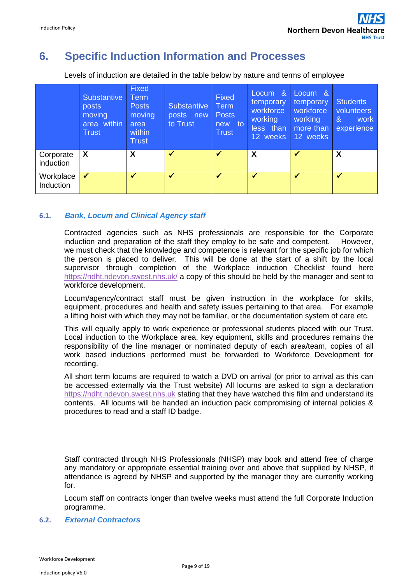# <span id="page-8-0"></span>**6. Specific Induction Information and Processes**

Levels of induction are detailed in the table below by nature and terms of employee

|                               | Substantive<br>posts<br>moving<br>area within<br><b>Trust</b> | <b>Fixed</b><br><b>Term</b><br><b>Posts</b><br>moving<br>area<br>within<br><b>Trust</b> | <b>Substantive</b><br>posts new<br>to Trust | Fixed<br>Term<br><b>Posts</b><br>new to<br>Trust | Locum &<br>temporary<br>workforce<br>working<br>less than<br>12 weeks | Locum &<br>temporary<br>workforce<br>working<br>more than<br>12 weeks | <b>Students</b><br>volunteers<br>&<br>work<br>experience |
|-------------------------------|---------------------------------------------------------------|-----------------------------------------------------------------------------------------|---------------------------------------------|--------------------------------------------------|-----------------------------------------------------------------------|-----------------------------------------------------------------------|----------------------------------------------------------|
| Corporate<br><i>induction</i> | X                                                             | X                                                                                       | $\checkmark$                                | $\blacktriangledown$                             | $\boldsymbol{X}$                                                      |                                                                       | X                                                        |
| Workplace<br>Induction        |                                                               |                                                                                         |                                             |                                                  |                                                                       |                                                                       | $\checkmark$                                             |

### **6.1.** *Bank, Locum and Clinical Agency staff*

Contracted agencies such as NHS professionals are responsible for the Corporate induction and preparation of the staff they employ to be safe and competent. However, we must check that the knowledge and competence is relevant for the specific job for which the person is placed to deliver. This will be done at the start of a shift by the local supervisor through completion of the Workplace induction Checklist found here <https://ndht.ndevon.swest.nhs.uk/> a copy of this should be held by the manager and sent to workforce development.

Locum/agency/contract staff must be given instruction in the workplace for skills, equipment, procedures and health and safety issues pertaining to that area. For example a lifting hoist with which they may not be familiar, or the documentation system of care etc.

This will equally apply to work experience or professional students placed with our Trust. Local induction to the Workplace area, key equipment, skills and procedures remains the responsibility of the line manager or nominated deputy of each area/team, copies of all work based inductions performed must be forwarded to Workforce Development for recording.

All short term locums are required to watch a DVD on arrival (or prior to arrival as this can be accessed externally via the Trust website) All locums are asked to sign a declaration [https://ndht.ndevon.swest.nhs.uk](https://ndht.ndevon.swest.nhs.uk/) stating that they have watched this film and understand its contents. All locums will be handed an induction pack compromising of internal policies & procedures to read and a staff ID badge.

Staff contracted through NHS Professionals (NHSP) may book and attend free of charge any mandatory or appropriate essential training over and above that supplied by NHSP, if attendance is agreed by NHSP and supported by the manager they are currently working for.

Locum staff on contracts longer than twelve weeks must attend the full Corporate Induction programme.

### **6.2.** *External Contractors*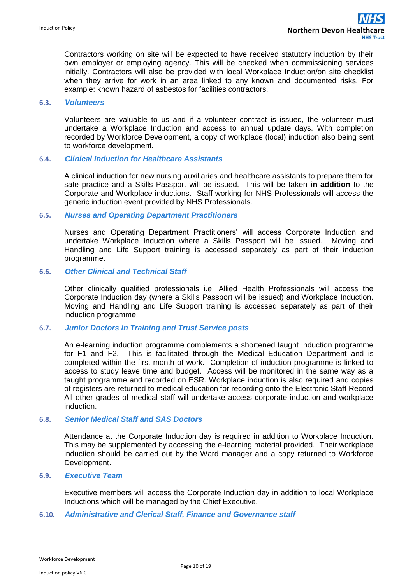Contractors working on site will be expected to have received statutory induction by their own employer or employing agency. This will be checked when commissioning services initially. Contractors will also be provided with local Workplace Induction/on site checklist when they arrive for work in an area linked to any known and documented risks. For example: known hazard of asbestos for facilities contractors.

#### **6.3.** *Volunteers*

Volunteers are valuable to us and if a volunteer contract is issued, the volunteer must undertake a Workplace Induction and access to annual update days. With completion recorded by Workforce Development, a copy of workplace (local) induction also being sent to workforce development.

#### **6.4.** *Clinical Induction for Healthcare Assistants*

A clinical induction for new nursing auxiliaries and healthcare assistants to prepare them for safe practice and a Skills Passport will be issued. This will be taken **in addition** to the Corporate and Workplace inductions. Staff working for NHS Professionals will access the generic induction event provided by NHS Professionals.

#### **6.5.** *Nurses and Operating Department Practitioners*

Nurses and Operating Department Practitioners' will access Corporate Induction and undertake Workplace Induction where a Skills Passport will be issued. Moving and Handling and Life Support training is accessed separately as part of their induction programme.

#### **6.6.** *Other Clinical and Technical Staff*

Other clinically qualified professionals i.e. Allied Health Professionals will access the Corporate Induction day (where a Skills Passport will be issued) and Workplace Induction. Moving and Handling and Life Support training is accessed separately as part of their induction programme.

#### **6.7.** *Junior Doctors in Training and Trust Service posts*

An e-learning induction programme complements a shortened taught Induction programme for F1 and F2. This is facilitated through the Medical Education Department and is completed within the first month of work. Completion of induction programme is linked to access to study leave time and budget. Access will be monitored in the same way as a taught programme and recorded on ESR. Workplace induction is also required and copies of registers are returned to medical education for recording onto the Electronic Staff Record All other grades of medical staff will undertake access corporate induction and workplace induction.

#### **6.8.** *Senior Medical Staff and SAS Doctors*

Attendance at the Corporate Induction day is required in addition to Workplace Induction. This may be supplemented by accessing the e-learning material provided. Their workplace induction should be carried out by the Ward manager and a copy returned to Workforce Development.

#### **6.9.** *Executive Team*

Executive members will access the Corporate Induction day in addition to local Workplace Inductions which will be managed by the Chief Executive.

#### **6.10.** *Administrative and Clerical Staff, Finance and Governance staff*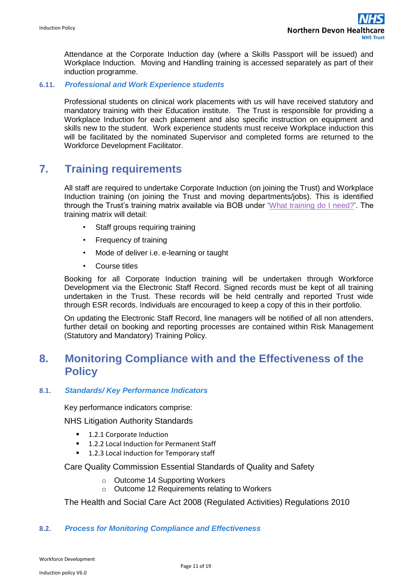Attendance at the Corporate Induction day (where a Skills Passport will be issued) and Workplace Induction.Moving and Handling training is accessed separately as part of their induction programme.

### **6.11.** *Professional and Work Experience students*

Professional students on clinical work placements with us will have received statutory and mandatory training with their Education institute. The Trust is responsible for providing a Workplace Induction for each placement and also specific instruction on equipment and skills new to the student. Work experience students must receive Workplace induction this will be facilitated by the nominated Supervisor and completed forms are returned to the Workforce Development Facilitator.

# <span id="page-10-0"></span>**7. Training requirements**

All staff are required to undertake Corporate Induction (on joining the Trust) and Workplace Induction training (on joining the Trust and moving departments/jobs). This is identified through the Trust's training matrix available via BOB under ['What training do I need?'.](http://ndht.ndevon.swest.nhs.uk/workforcedevelopment/NDHCT%20MASTER.xls) The training matrix will detail:

- Staff groups requiring training
- Frequency of training
- Mode of deliver i.e. e-learning or taught
- Course titles

Booking for all Corporate Induction training will be undertaken through Workforce Development via the Electronic Staff Record. Signed records must be kept of all training undertaken in the Trust. These records will be held centrally and reported Trust wide through ESR records. Individuals are encouraged to keep a copy of this in their portfolio.

On updating the Electronic Staff Record, line managers will be notified of all non attenders, further detail on booking and reporting processes are contained within Risk Management (Statutory and Mandatory) Training Policy.

# <span id="page-10-1"></span>**8. Monitoring Compliance with and the Effectiveness of the Policy**

### **8.1.** *Standards/ Key Performance Indicators*

Key performance indicators comprise:

NHS Litigation Authority Standards

- 1.2.1 Corporate Induction
- 1.2.2 Local Induction for Permanent Staff
- 1.2.3 Local Induction for Temporary staff

Care Quality Commission Essential Standards of Quality and Safety

- o Outcome 14 Supporting Workers
- o Outcome 12 Requirements relating to Workers

The Health and Social Care Act 2008 (Regulated Activities) Regulations 2010

### **8.2.** *Process for Monitoring Compliance and Effectiveness*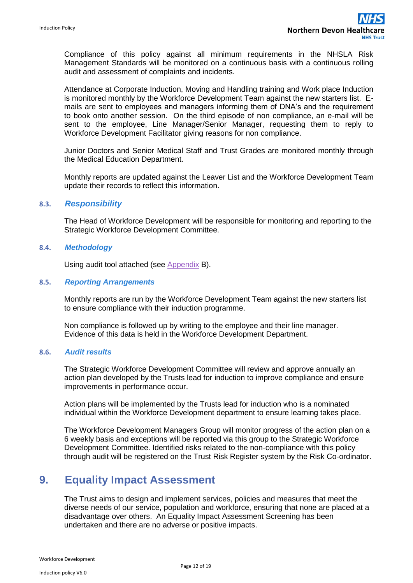Compliance of this policy against all minimum requirements in the NHSLA Risk Management Standards will be monitored on a continuous basis with a continuous rolling audit and assessment of complaints and incidents.

Attendance at Corporate Induction, Moving and Handling training and Work place Induction is monitored monthly by the Workforce Development Team against the new starters list. Emails are sent to employees and managers informing them of DNA's and the requirement to book onto another session. On the third episode of non compliance, an e-mail will be sent to the employee, Line Manager/Senior Manager, requesting them to reply to Workforce Development Facilitator giving reasons for non compliance.

Junior Doctors and Senior Medical Staff and Trust Grades are monitored monthly through the Medical Education Department.

Monthly reports are updated against the Leaver List and the Workforce Development Team update their records to reflect this information.

### **8.3.** *Responsibility*

The Head of Workforce Development will be responsible for monitoring and reporting to the Strategic Workforce Development Committee.

#### **8.4.** *Methodology*

Using audit tool attached (see Appendix B).

#### **8.5.** *Reporting Arrangements*

Monthly reports are run by the Workforce Development Team against the new starters list to ensure compliance with their induction programme.

Non compliance is followed up by writing to the employee and their line manager. Evidence of this data is held in the Workforce Development Department.

#### **8.6.** *Audit results*

The Strategic Workforce Development Committee will review and approve annually an action plan developed by the Trusts lead for induction to improve compliance and ensure improvements in performance occur.

Action plans will be implemented by the Trusts lead for induction who is a nominated individual within the Workforce Development department to ensure learning takes place.

The Workforce Development Managers Group will monitor progress of the action plan on a 6 weekly basis and exceptions will be reported via this group to the Strategic Workforce Development Committee. Identified risks related to the non-compliance with this policy through audit will be registered on the Trust Risk Register system by the Risk Co-ordinator.

# <span id="page-11-0"></span>**9. Equality Impact Assessment**

The Trust aims to design and implement services, policies and measures that meet the diverse needs of our service, population and workforce, ensuring that none are placed at a disadvantage over others. An Equality Impact Assessment Screening has been undertaken and there are no adverse or positive impacts.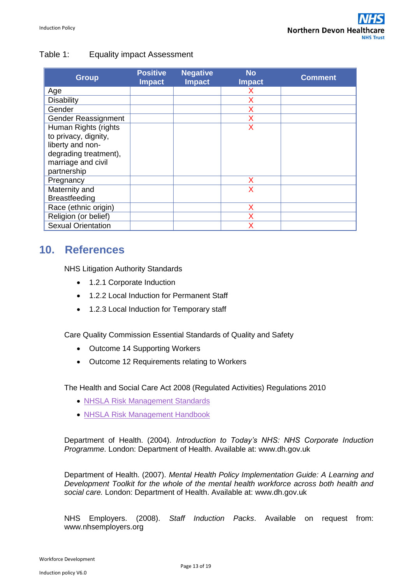## Table 1: Equality impact Assessment

| <b>Group</b>              | <b>Positive</b><br><b>Impact</b> | <b>Negative</b><br><b>Impact</b> | <b>No</b><br><b>Impact</b> | <b>Comment</b> |
|---------------------------|----------------------------------|----------------------------------|----------------------------|----------------|
| Age                       |                                  |                                  |                            |                |
| <b>Disability</b>         |                                  |                                  |                            |                |
| Gender                    |                                  |                                  | x                          |                |
| Gender Reassignment       |                                  |                                  | X                          |                |
| Human Rights (rights      |                                  |                                  | Χ                          |                |
| to privacy, dignity,      |                                  |                                  |                            |                |
| liberty and non-          |                                  |                                  |                            |                |
| degrading treatment),     |                                  |                                  |                            |                |
| marriage and civil        |                                  |                                  |                            |                |
| partnership               |                                  |                                  |                            |                |
| Pregnancy                 |                                  |                                  | X                          |                |
| Maternity and             |                                  |                                  | X                          |                |
| <b>Breastfeeding</b>      |                                  |                                  |                            |                |
| Race (ethnic origin)      |                                  |                                  | Х                          |                |
| Religion (or belief)      |                                  |                                  |                            |                |
| <b>Sexual Orientation</b> |                                  |                                  | Χ                          |                |

# <span id="page-12-0"></span>**10. References**

NHS Litigation Authority Standards

- 1.2.1 Corporate Induction
- 1.2.2 Local Induction for Permanent Staff
- 1.2.3 Local Induction for Temporary staff

Care Quality Commission Essential Standards of Quality and Safety

- Outcome 14 Supporting Workers
- Outcome 12 Requirements relating to Workers

The Health and Social Care Act 2008 (Regulated Activities) Regulations 2010

- NHSLA Risk Management Standards
- NHSLA Risk Management Handbook

Department of Health. (2004). *Introduction to Today's NHS: NHS Corporate Induction Programme*. London: Department of Health. Available at: [www.dh.gov.uk](http://www.dh.gov.uk/en/Publicationsandstatistics/Lettersandcirculars/Dearcolleagueletters/DH_4085659)

Department of Health. (2007). *Mental Health Policy Implementation Guide: A Learning and Development Toolkit for the whole of the mental health workforce across both health and social care.* London: Department of Health. Available at: [www.dh.gov.uk](http://www.dh.gov.uk/)

NHS Employers. (2008). *Staff Induction Packs*. Available on request from: [www.nhsemployers.org](http://www.nhsemployers.org/)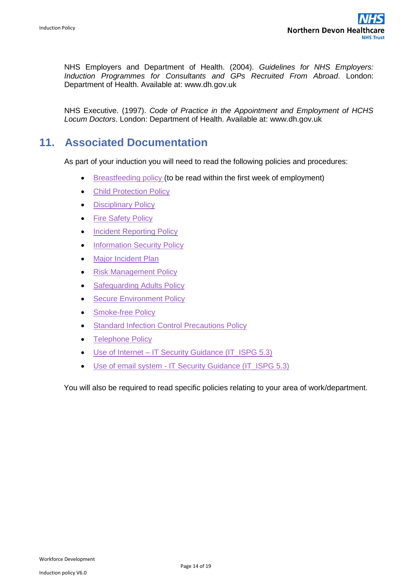NHS Employers and Department of Health. (2004). *Guidelines for NHS Employers: Induction Programmes for Consultants and GPs Recruited From Abroad*. London: Department of Health. Available at: [www.dh.gov.uk](http://www.dh.gov.uk/)

NHS Executive. (1997). *Code of Practice in the Appointment and Employment of HCHS Locum Doctors*. London: Department of Health. Available at: [www.dh.gov.uk](http://www.dh.gov.uk/)

# <span id="page-13-0"></span>**11. Associated Documentation**

As part of your induction you will need to read the following policies and procedures:

- [Breastfeeding policy \(](http://ndht.ndevon.swest.nhs.uk/policies/?p=4727)to be read within the first week of employment)
- [Child Protection Policy](http://ndht.ndevon.swest.nhs.uk/policies/?p=35)
- Disciplinary Policy
- [Fire Safety Policy](http://ndht.ndevon.swest.nhs.uk/policies/?p=782)
- [Incident Reporting Policy](http://ndht.ndevon.swest.nhs.uk/policies/?p=2144)
- [Information Security Policy](http://ndht.ndevon.swest.nhs.uk/policies/?p=3421)
- [Major Incident Plan](http://ndht.ndevon.swest.nhs.uk/policies/?p=4434)
- [Risk Management Policy](http://ndht.ndevon.swest.nhs.uk/policies/?p=346)
- [Safeguarding Adults Policy](http://ndht.ndevon.swest.nhs.uk/policies/?p=2275)
- [Secure Environment Policy](http://ndht.ndevon.swest.nhs.uk/policies/?p=789)
- [Smoke-free Policy](http://ndht.ndevon.swest.nhs.uk/policies/?p=59)
- [Standard Infection Control Precautions Policy](http://ndht.ndevon.swest.nhs.uk/policies/?p=1302)
- [Telephone Policy](http://ndht.ndevon.swest.nhs.uk/policies/?p=758)
- Use of Internet [IT Security Guidance \(IT\\_ISPG 5.3\)](http://ndht.ndevon.swest.nhs.uk/policies/?p=3140)
- Use of email system [IT Security Guidance \(IT\\_ISPG 5.3\)](http://ndht.ndevon.swest.nhs.uk/policies/?p=3136)

You will also be required to read specific policies relating to your area of work/department.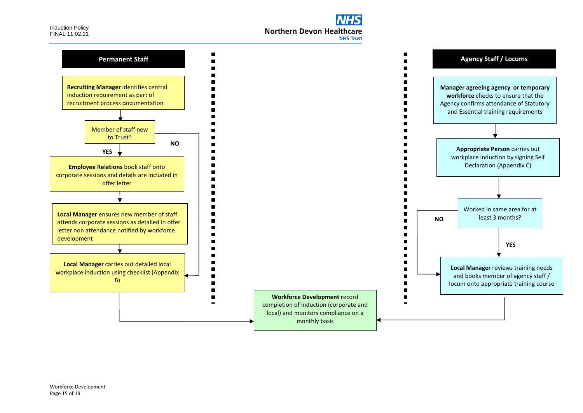

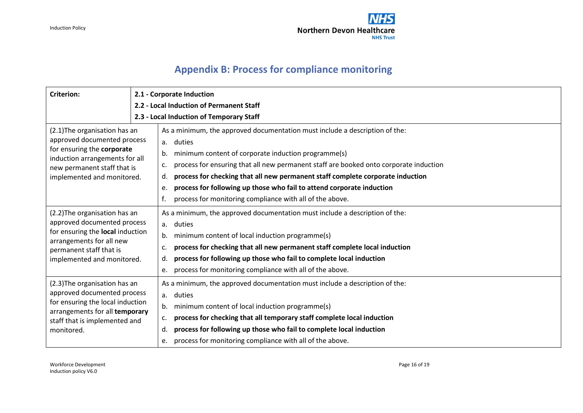

# **Appendix B: Process for compliance monitoring**

<span id="page-15-0"></span>

| <b>Criterion:</b>                                                                                                                                                                         | 2.1 - Corporate Induction                                                                                                                                                                                                                                                                                                                                                                                                                                                                  |  |  |  |  |  |  |
|-------------------------------------------------------------------------------------------------------------------------------------------------------------------------------------------|--------------------------------------------------------------------------------------------------------------------------------------------------------------------------------------------------------------------------------------------------------------------------------------------------------------------------------------------------------------------------------------------------------------------------------------------------------------------------------------------|--|--|--|--|--|--|
|                                                                                                                                                                                           | 2.2 - Local Induction of Permanent Staff<br>2.3 - Local Induction of Temporary Staff                                                                                                                                                                                                                                                                                                                                                                                                       |  |  |  |  |  |  |
| (2.1) The organisation has an<br>approved documented process<br>for ensuring the corporate<br>induction arrangements for all<br>new permanent staff that is<br>implemented and monitored. | As a minimum, the approved documentation must include a description of the:<br>duties<br>a.<br>minimum content of corporate induction programme(s)<br>b.<br>process for ensuring that all new permanent staff are booked onto corporate induction<br>c.<br>process for checking that all new permanent staff complete corporate induction<br>d.<br>process for following up those who fail to attend corporate induction<br>e.<br>process for monitoring compliance with all of the above. |  |  |  |  |  |  |
| (2.2) The organisation has an<br>approved documented process<br>for ensuring the local induction<br>arrangements for all new<br>permanent staff that is<br>implemented and monitored.     | As a minimum, the approved documentation must include a description of the:<br>duties<br>a.<br>minimum content of local induction programme(s)<br>b.<br>process for checking that all new permanent staff complete local induction<br>c.<br>process for following up those who fail to complete local induction<br>d.<br>process for monitoring compliance with all of the above.<br>e.                                                                                                    |  |  |  |  |  |  |
| (2.3) The organisation has an<br>approved documented process<br>for ensuring the local induction<br>arrangements for all temporary<br>staff that is implemented and<br>monitored.         | As a minimum, the approved documentation must include a description of the:<br>duties<br>a.<br>minimum content of local induction programme(s)<br>b.<br>process for checking that all temporary staff complete local induction<br>c.<br>process for following up those who fail to complete local induction<br>d.<br>process for monitoring compliance with all of the above.<br>e.                                                                                                        |  |  |  |  |  |  |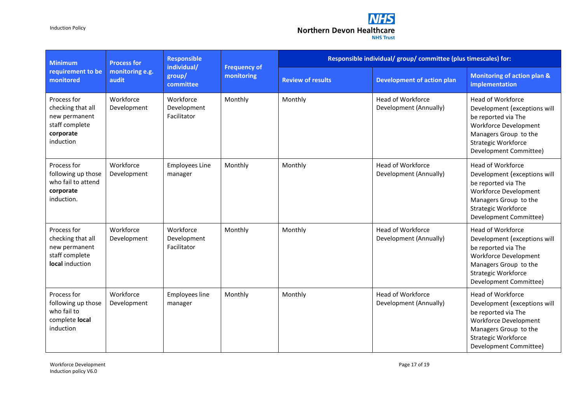Induction Policy



| <b>Minimum</b>                                                                                | <b>Process for</b>       | <b>Responsible</b><br>individual/<br>group/<br>committee | <b>Frequency of</b><br>monitoring | Responsible individual/ group/ committee (plus timescales) for: |                                                    |                                                                                                                                                                                           |  |
|-----------------------------------------------------------------------------------------------|--------------------------|----------------------------------------------------------|-----------------------------------|-----------------------------------------------------------------|----------------------------------------------------|-------------------------------------------------------------------------------------------------------------------------------------------------------------------------------------------|--|
| requirement to be<br>monitored                                                                | monitoring e.g.<br>audit |                                                          |                                   | <b>Review of results</b>                                        | <b>Development of action plan</b>                  | Monitoring of action plan &<br>implementation                                                                                                                                             |  |
| Process for<br>checking that all<br>new permanent<br>staff complete<br>corporate<br>induction | Workforce<br>Development | Workforce<br>Development<br>Facilitator                  | Monthly                           | Monthly                                                         | <b>Head of Workforce</b><br>Development (Annually) | <b>Head of Workforce</b><br>Development (exceptions will<br>be reported via The<br>Workforce Development<br>Managers Group to the<br>Strategic Workforce<br>Development Committee)        |  |
| Process for<br>following up those<br>who fail to attend<br>corporate<br>induction.            | Workforce<br>Development | <b>Employees Line</b><br>manager                         | Monthly                           | Monthly                                                         | <b>Head of Workforce</b><br>Development (Annually) | Head of Workforce<br>Development (exceptions will<br>be reported via The<br>Workforce Development<br>Managers Group to the<br>Strategic Workforce<br>Development Committee)               |  |
| Process for<br>checking that all<br>new permanent<br>staff complete<br>local induction        | Workforce<br>Development | Workforce<br>Development<br>Facilitator                  | Monthly                           | Monthly                                                         | <b>Head of Workforce</b><br>Development (Annually) | <b>Head of Workforce</b><br>Development (exceptions will<br>be reported via The<br><b>Workforce Development</b><br>Managers Group to the<br>Strategic Workforce<br>Development Committee) |  |
| Process for<br>following up those<br>who fail to<br>complete local<br>induction               | Workforce<br>Development | Employees line<br>manager                                | Monthly                           | Monthly                                                         | <b>Head of Workforce</b><br>Development (Annually) | Head of Workforce<br>Development (exceptions will<br>be reported via The<br><b>Workforce Development</b><br>Managers Group to the<br><b>Strategic Workforce</b><br>Development Committee) |  |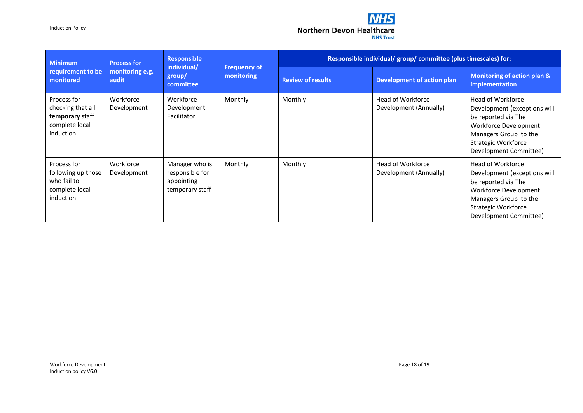Induction Policy



| <b>Minimum</b><br>requirement to be<br>monitored                                   | <b>Process for</b><br>monitoring e.g.<br>audit | <b>Responsible</b><br>individual/<br>group/<br>committee           | <b>Frequency of</b><br>monitoring | Responsible individual/ group/ committee (plus timescales) for: |                                             |                                                                                                                                                                                    |  |
|------------------------------------------------------------------------------------|------------------------------------------------|--------------------------------------------------------------------|-----------------------------------|-----------------------------------------------------------------|---------------------------------------------|------------------------------------------------------------------------------------------------------------------------------------------------------------------------------------|--|
|                                                                                    |                                                |                                                                    |                                   | <b>Review of results</b>                                        | <b>Development of action plan</b>           | Monitoring of action plan &<br>implementation                                                                                                                                      |  |
| Process for<br>checking that all<br>temporary staff<br>complete local<br>induction | Workforce<br>Development                       | Workforce<br>Development<br>Facilitator                            | Monthly                           | Monthly                                                         | Head of Workforce<br>Development (Annually) | Head of Workforce<br>Development (exceptions will<br>be reported via The<br>Workforce Development<br>Managers Group to the<br><b>Strategic Workforce</b><br>Development Committee) |  |
| Process for<br>following up those<br>who fail to<br>complete local<br>induction    | Workforce<br>Development                       | Manager who is<br>responsible for<br>appointing<br>temporary staff | Monthly                           | Monthly                                                         | Head of Workforce<br>Development (Annually) | Head of Workforce<br>Development (exceptions will<br>be reported via The<br>Workforce Development<br>Managers Group to the<br>Strategic Workforce<br>Development Committee)        |  |